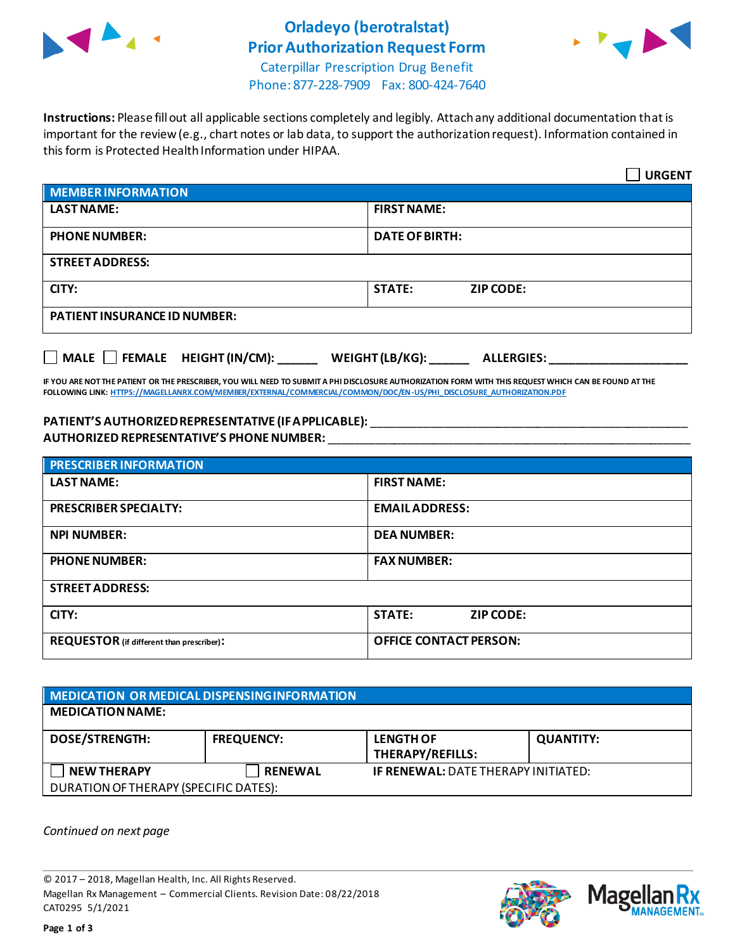

## **Orladeyo (berotralstat) Prior Authorization Request Form**



Caterpillar Prescription Drug Benefit Phone: 877-228-7909 Fax: 800-424-7640

**Instructions:** Please fill out all applicable sections completely and legibly. Attach any additional documentation that is important for the review (e.g., chart notes or lab data, to support the authorization request). Information contained in this form is Protected Health Information under HIPAA.

|                                                                                   | <b>URGENT</b>                     |  |
|-----------------------------------------------------------------------------------|-----------------------------------|--|
| <b>MEMBER INFORMATION</b>                                                         |                                   |  |
| <b>LAST NAME:</b>                                                                 | <b>FIRST NAME:</b>                |  |
| <b>PHONE NUMBER:</b>                                                              | <b>DATE OF BIRTH:</b>             |  |
| <b>STREET ADDRESS:</b>                                                            |                                   |  |
| CITY:                                                                             | <b>STATE:</b><br><b>ZIP CODE:</b> |  |
| <b>PATIENT INSURANCE ID NUMBER:</b>                                               |                                   |  |
| $\Box$ MALE $\Box$ FEMALE HEIGHT (IN/CM):<br>WEIGHT (LB/KG):<br><b>ALLERGIES:</b> |                                   |  |

**IF YOU ARE NOT THE PATIENT OR THE PRESCRIBER, YOU WILL NEED TO SUBMIT A PHI DISCLOSURE AUTHORIZATION FORM WITH THIS REQUEST WHICH CAN BE FOUND AT THE FOLLOWING LINK[: HTTPS://MAGELLANRX.COM/MEMBER/EXTERNAL/COMMERCIAL/COMMON/DOC/EN-US/PHI\\_DISCLOSURE\\_AUTHORIZATION.PDF](https://magellanrx.com/member/external/commercial/common/doc/en-us/PHI_Disclosure_Authorization.pdf)**

## **PATIENT'S AUTHORIZED REPRESENTATIVE (IF APPLICABLE):** \_\_\_\_\_\_\_\_\_\_\_\_\_\_\_\_\_\_\_\_\_\_\_\_\_\_\_\_\_\_\_\_\_\_\_\_\_\_\_\_\_\_\_\_\_\_\_\_ **AUTHORIZED REPRESENTATIVE'S PHONE NUMBER:** \_\_\_\_\_\_\_\_\_\_\_\_\_\_\_\_\_\_\_\_\_\_\_\_\_\_\_\_\_\_\_\_\_\_\_\_\_\_\_\_\_\_\_\_\_\_\_\_\_\_\_\_\_\_\_

| <b>PRESCRIBER INFORMATION</b>             |                               |  |
|-------------------------------------------|-------------------------------|--|
| <b>LAST NAME:</b>                         | <b>FIRST NAME:</b>            |  |
| <b>PRESCRIBER SPECIALTY:</b>              | <b>EMAIL ADDRESS:</b>         |  |
| <b>NPI NUMBER:</b>                        | <b>DEA NUMBER:</b>            |  |
| <b>PHONE NUMBER:</b>                      | <b>FAX NUMBER:</b>            |  |
| <b>STREET ADDRESS:</b>                    |                               |  |
| CITY:                                     | <b>STATE:</b><br>ZIP CODE:    |  |
| REQUESTOR (if different than prescriber): | <b>OFFICE CONTACT PERSON:</b> |  |

## **MEDICATION OR MEDICAL DISPENSING INFORMATION MEDICATION NAME: DOSE/STRENGTH: FREQUENCY: LENGTH OF THERAPY/REFILLS: QUANTITY: NEW THERAPY RENEWAL IF RENEWAL:** DATE THERAPY INITIATED: DURATION OF THERAPY (SPECIFIC DATES):

*Continued on next page*

© 2017 – 2018, Magellan Health, Inc. All Rights Reserved. Magellan Rx Management – Commercial Clients. Revision Date: 08/22/2018 CAT0295 5/1/2021



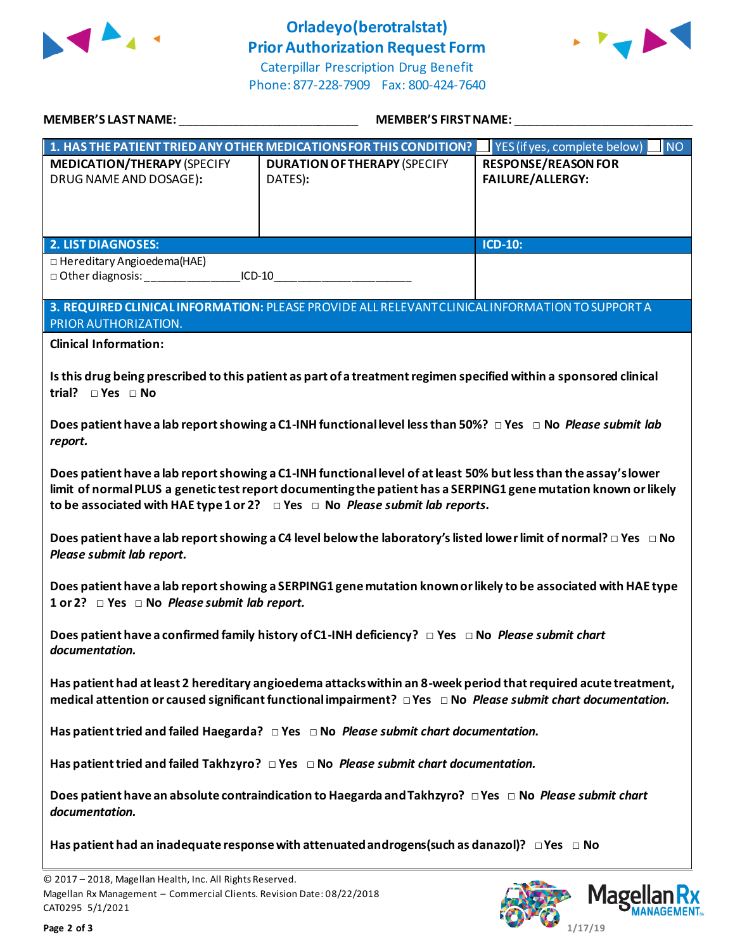

## **Orladeyo(berotralstat) Prior Authorization Request Form**



Caterpillar Prescription Drug Benefit Phone: 877-228-7909 Fax: 800-424-7640

| MEMBER'S LAST NAME:                                                                                                                                                                                                                                                                                                           | <b>MEMBER'S FIRST NAME:</b>                                                                     |                                                       |  |
|-------------------------------------------------------------------------------------------------------------------------------------------------------------------------------------------------------------------------------------------------------------------------------------------------------------------------------|-------------------------------------------------------------------------------------------------|-------------------------------------------------------|--|
| 1. HAS THE PATIENT TRIED ANY OTHER MEDICATIONS FOR THIS CONDITION?                                                                                                                                                                                                                                                            |                                                                                                 | <b>NO</b><br>YES (if yes, complete below)             |  |
| <b>MEDICATION/THERAPY (SPECIFY</b><br>DRUG NAME AND DOSAGE):                                                                                                                                                                                                                                                                  | <b>DURATION OF THERAPY (SPECIFY</b><br>DATES):                                                  | <b>RESPONSE/REASON FOR</b><br><b>FAILURE/ALLERGY:</b> |  |
| <b>2. LIST DIAGNOSES:</b>                                                                                                                                                                                                                                                                                                     |                                                                                                 | <b>ICD-10:</b>                                        |  |
| $\Box$ Hereditary Angioedema(HAE)                                                                                                                                                                                                                                                                                             | $ICD-10$                                                                                        |                                                       |  |
| PRIOR AUTHORIZATION.                                                                                                                                                                                                                                                                                                          | 3. REQUIRED CLINICAL INFORMATION: PLEASE PROVIDE ALL RELEVANT CLINICAL INFORMATION TO SUPPORT A |                                                       |  |
| <b>Clinical Information:</b>                                                                                                                                                                                                                                                                                                  |                                                                                                 |                                                       |  |
| Is this drug being prescribed to this patient as part of a treatment regimen specified within a sponsored clinical<br>trial? $\square$ Yes $\square$ No                                                                                                                                                                       |                                                                                                 |                                                       |  |
| Does patient have a lab report showing a C1-INH functional level less than 50%? $\Box$ Yes $\Box$ No <i>Please submit lab</i><br>report.                                                                                                                                                                                      |                                                                                                 |                                                       |  |
| Does patient have a lab report showing a C1-INH functional level of at least 50% but less than the assay's lower<br>limit of normal PLUS a genetic test report documenting the patient has a SERPING1 gene mutation known or likely<br>to be associated with HAE type 1 or 2? $\Box$ Yes $\Box$ No Please submit lab reports. |                                                                                                 |                                                       |  |
| Does patient have a lab report showing a C4 level below the laboratory's listed lower limit of normal? $\Box$ Yes $\Box$ No<br>Please submit lab report.                                                                                                                                                                      |                                                                                                 |                                                       |  |
| Does patient have a lab report showing a SERPING1 gene mutation known or likely to be associated with HAE type<br>1 or 2? Pes D No Please submit lab report.                                                                                                                                                                  |                                                                                                 |                                                       |  |
| Does patient have a confirmed family history of C1-INH deficiency? $\Box$ Yes $\Box$ No Please submit chart<br>documentation.                                                                                                                                                                                                 |                                                                                                 |                                                       |  |
| Has patient had at least 2 hereditary angioedema attacks within an 8-week period that required acute treatment,<br>medical attention or caused significant functional impairment? $\Box$ Yes $\Box$ No Please submit chart documentation.                                                                                     |                                                                                                 |                                                       |  |
| Has patient tried and failed Haegarda? $\Box$ Yes $\Box$ No Please submit chart documentation.                                                                                                                                                                                                                                |                                                                                                 |                                                       |  |
| Has patient tried and failed Takhzyro? $\Box$ Yes $\Box$ No <i>Please submit chart documentation.</i>                                                                                                                                                                                                                         |                                                                                                 |                                                       |  |
| Does patient have an absolute contraindication to Haegarda and Takhzyro? □ Yes □ No Please submit chart<br>documentation.                                                                                                                                                                                                     |                                                                                                 |                                                       |  |
| Has patient had an inadequate response with attenuated androgens (such as danazol)? $\Box$ Yes $\Box$ No                                                                                                                                                                                                                      |                                                                                                 |                                                       |  |